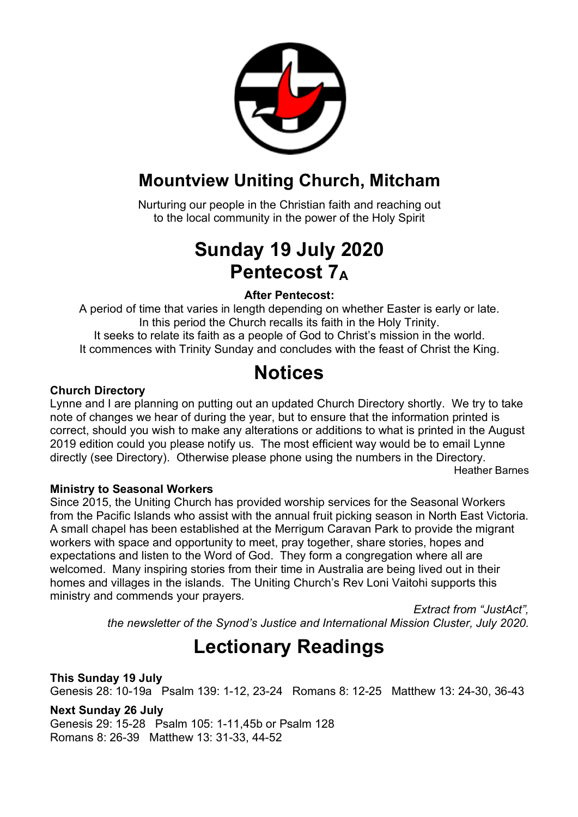

## **Mountview Uniting Church, Mitcham**

Nurturing our people in the Christian faith and reaching out to the local community in the power of the Holy Spirit

# **Sunday 19 July 2020 Pentecost 7A**

## **After Pentecost:**

A period of time that varies in length depending on whether Easter is early or late. In this period the Church recalls its faith in the Holy Trinity.

It seeks to relate its faith as a people of God to Christ's mission in the world. It commences with Trinity Sunday and concludes with the feast of Christ the King.

## **Notices**

## **Church Directory**

Lynne and I are planning on putting out an updated Church Directory shortly. We try to take note of changes we hear of during the year, but to ensure that the information printed is correct, should you wish to make any alterations or additions to what is printed in the August 2019 edition could you please notify us. The most efficient way would be to email Lynne directly (see Directory). Otherwise please phone using the numbers in the Directory. Heather Barnes

#### **Ministry to Seasonal Workers**

Since 2015, the Uniting Church has provided worship services for the Seasonal Workers from the Pacific Islands who assist with the annual fruit picking season in North East Victoria. A small chapel has been established at the Merrigum Caravan Park to provide the migrant workers with space and opportunity to meet, pray together, share stories, hopes and expectations and listen to the Word of God. They form a congregation where all are welcomed. Many inspiring stories from their time in Australia are being lived out in their homes and villages in the islands. The Uniting Church's Rev Loni Vaitohi supports this ministry and commends your prayers.

> *Extract from "JustAct", the newsletter of the Synod's Justice and International Mission Cluster, July 2020.*

# **Lectionary Readings**

#### **This Sunday 19 July** Genesis 28: 10-19a Psalm 139: 1-12, 23-24 Romans 8: 12-25 Matthew 13: 24-30, 36-43

**Next Sunday 26 July**

Genesis 29: 15-28 Psalm 105: 1-11,45b or Psalm 128 Romans 8: 26-39 Matthew 13: 31-33, 44-52